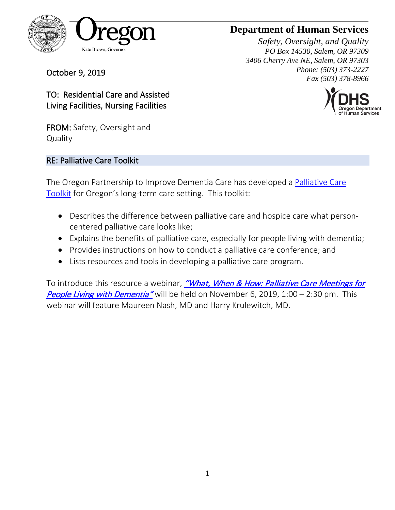

October 9, 2019

## **Department of Human Services**

*Safety, Oversight, and Quality PO Box 14530, Salem, OR 97309 3406 Cherry Ave NE, Salem, OR 97303 Phone: (503) 373-2227 Fax (503) 378-8966* 



TO: Residential Care and Assisted Living Facilities, Nursing Facilities

FROM: Safety, Oversight and **Quality** 

### RE: Palliative Care Toolkit

The Oregon Partnership to Improve Dementia Care has developed a [Palliative Care](https://www.oregon.gov/DHS/PROVIDERS-PARTNERS/LICENSING/CBC/Documents/Palliative-Care-Toolkit.pdf)  [Toolkit](https://www.oregon.gov/DHS/PROVIDERS-PARTNERS/LICENSING/CBC/Documents/Palliative-Care-Toolkit.pdf) for Oregon's long-term care setting. This toolkit:

- Describes the difference between palliative care and hospice care what personcentered palliative care looks like;
- Explains the benefits of palliative care, especially for people living with dementia;
- Provides instructions on how to conduct a palliative care conference; and
- Lists resources and tools in developing a palliative care program.

To introduce this resource a webinar, "What, When & How: Palliative Care Meetings for **[People Living with Dementia"](https://healthinsight.zoom.us/webinar/register/WN_WeitIESaSEyW4IB7LTX8VQ)** will be held on November 6, 2019, 1:00 – 2:30 pm. This webinar will feature Maureen Nash, MD and Harry Krulewitch, MD.